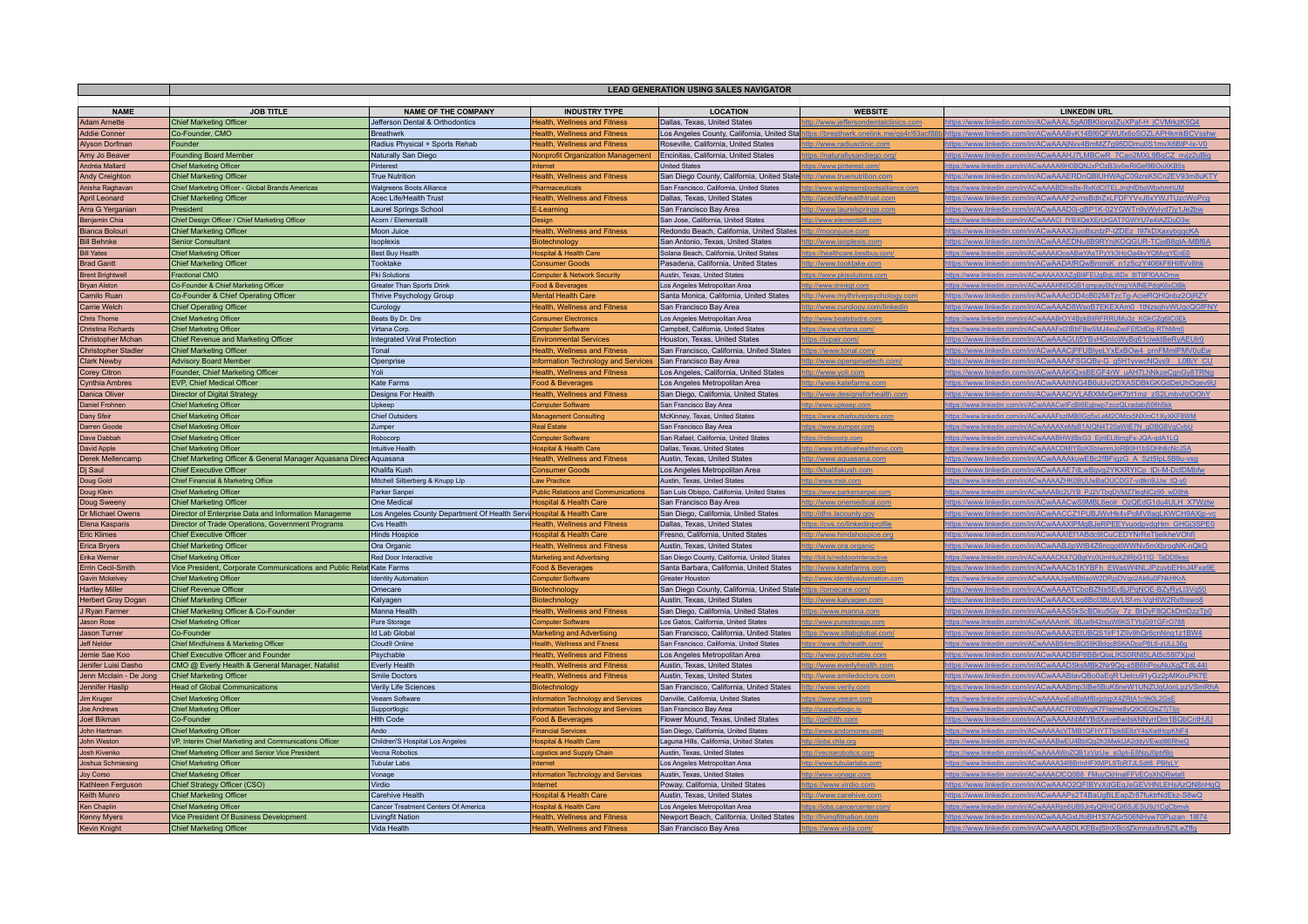|                                            | <b>LEAD GENERATION USING SALES NAVIGATOR</b>                           |                                                                      |                                                                 |                                                                      |                                                          |                                                                                                                                            |  |  |  |
|--------------------------------------------|------------------------------------------------------------------------|----------------------------------------------------------------------|-----------------------------------------------------------------|----------------------------------------------------------------------|----------------------------------------------------------|--------------------------------------------------------------------------------------------------------------------------------------------|--|--|--|
|                                            |                                                                        |                                                                      |                                                                 |                                                                      |                                                          |                                                                                                                                            |  |  |  |
| <b>NAME</b>                                | <b>JOB TITLE</b>                                                       | <b>NAME OF THE COMPANY</b>                                           | <b>INDUSTRY TYPE</b>                                            | <b>LOCATION</b>                                                      | <b>WEBSITE</b>                                           | <b>LINKEDIN URL</b>                                                                                                                        |  |  |  |
| <b>Adam Arnette</b>                        | <b>Chief Marketing Officer</b>                                         | Jefferson Dental & Orthodontics                                      | <b>Health, Wellness and Fitness</b>                             | Dallas, Texas, United States                                         | tp://www.jeffersondentalclinics.com                      | https://www.linkedin.com/in/ACwAAAL5gA0BKliorodZuXPaf-H_jCVMrkzK5Q4                                                                        |  |  |  |
| <b>Addie Conner</b>                        | Co-Founder, CMO                                                        | <b>Breathwrk</b>                                                     | <b>Health, Wellness and Fitness</b>                             | Los Angeles County, California, United Sta                           | tps://breathwrk.onelink.me/gs4r/63acf88                  | ttps://www.linkedin.com/in/ACwAAABvK14Bf6QFWUfx6oSOZLAPHkmkBCVsshw                                                                         |  |  |  |
| Alyson Dorfman                             | Founder                                                                | Radius Physical + Sports Rehab                                       | <b>Health, Wellness and Fitness</b>                             | Roseville, California, United States                                 | to://www.radiusclinic.com                                | ttps://www.linkedin.com/in/ACwAAAjNvv4BmMZ7g95DDmu0S1mvX6BtP-lx-V0                                                                         |  |  |  |
| Amy Jo Beaver                              | Founding Board Member                                                  | Naturally San Diego                                                  | Nonprofit Organization Management                               | Encinitas, California, United States                                 | ://naturallysandiego.org                                 | https://www.linkedin.com/in/ACwAAAHJ7LMBCwR_7Cao2MXL9BqCZ_nvjz2uBig                                                                        |  |  |  |
| Andréa Mallard                             | <b>Chief Marketing Officer</b>                                         | Pinterest                                                            | nternet                                                         | <b>United States</b>                                                 | ps://www.pinterest.com                                   | tps://www.linkedin.com/in/ACwAAAAI9H0BQNJxPOzB3iv0wRIGef9BOoXKB5                                                                           |  |  |  |
| Andy Creighton                             | <b>Chief Marketing Officer</b>                                         | <b>True Nutrition</b>                                                | <b>Health, Wellness and Fitness</b>                             | San Diego County, California, United State                           | <u>tp://www.truenutrition.com</u>                        | ttps://www.linkedin.com/in/ACwAAAERDnQBIUHWAgC09zrsK5Cn2EV93m8uKTY                                                                         |  |  |  |
| Anisha Raghavan                            | Chief Marketing Officer - Global Brands Americas                       | <b>Walgreens Boots Alliance</b>                                      | Pharmaceuticals                                                 | San Francisco, California, United States                             | p://www.walgreensbootsalliance.com                       | ttps://www.linkedin.com/in/ACwAAABDInsBs-RxKdCtTELJmjhfDboWbxhmhUM                                                                         |  |  |  |
| April Leonard                              | Chief Marketing Officer<br>President                                   | Acec Life/Health Trust                                               | <b>Health, Wellness and Fitness</b>                             | Dallas, Texas, United States<br>San Francisco Bay Area               | ttp://aceclifehealthtrust.com                            | https://www.linkedin.com/in/ACwAAAF2vmsBdlrZxLFDFYVvJ6xYWJTUzcWoPcq<br>https://www.linkedin.com/in/ACwAAAD0i-aBP1K-02YGWTn9vWvIvd7iv1Je2bw |  |  |  |
| Arra G Yerganian                           | Chief Design Officer / Chief Marketing Officer                         | Laurel Springs School<br>Acorn / Elemental8                          | E-Learning<br>Design                                            | San Jose, California, United States                                  | tp://www.laurelsprings.com<br>://www.elemental8.cor      | ttps://www.linkedin.com/in/ACwAAACI_fYBXQeXErUrGAT7GWYU7e4IAZDuD3v                                                                         |  |  |  |
| Benjamin Chia<br>Bianca Bolouri            | Chief Marketing Officer                                                | Moon Juice                                                           | <b>Health, Wellness and Fitness</b>                             | Redondo Beach, California, United States                             | tp://moonjuice.com                                       | ttps://www.linkedin.com/in/ACwAAAX2juoBxzdzP-IZDEz_I97kDXaxybggcKA                                                                         |  |  |  |
| <b>Bill Behnke</b>                         | <b>Senior Consultant</b>                                               | Isoplexis                                                            | Biotechnology                                                   | San Antonio, Texas, United States                                    | <u>p://www.isoplexis.com</u>                             | tps://www.linkedin.com/in/ACwAAAEDNu8B9RYnjKOQGUR-TCjeB8gtA-MBf6                                                                           |  |  |  |
| <b>Bill Yates</b>                          | <b>Chief Marketing Office</b>                                          | <b>Best Buy Health</b>                                               | <b>Hospital &amp; Health Care</b>                               | Solana Beach, California, United States                              | tps://healthcare.bestbuy.com                             | ttps://www.linkedin.com/in/ACwAAAIOceABwYAsTPzYk3HoOa4kvYQMvgYEnE0                                                                         |  |  |  |
| <b>Brad Gantt</b>                          | <b>Chief Marketing Officer</b>                                         | Tooktake                                                             | <b>Consumer Goods</b>                                           | Pasadena, California, United States                                  | to://www.tooktake.com                                    | https://www.linkedin.com/in/ACwAADAfRQwBromiK_n1z5czY406kF6HI8Vv8hk                                                                        |  |  |  |
| <b>Brent Brightwell</b>                    | <b>Fractional CMO</b>                                                  | Pki Solutions                                                        | <b>Computer &amp; Network Security</b>                          | <b>Austin, Texas, United States</b>                                  | tps://www.pkisolutions.com                               | ttps://www.linkedin.com/in/ACwAAAAXAZaBlilFEUaBaLi8Dx 8IT9Ff0AAOmy                                                                         |  |  |  |
| <b>Bryan Alston</b>                        | Co-Founder & Chief Marketing Officer                                   | <b>Greater Than Sports Drink</b>                                     | Food & Beverages                                                | Los Angeles Metropolitan Area                                        | ttp://www.drinkgt.com                                    | https://www.linkedin.com/in/ACwAAAHNIDQB1qmpay0lqYmpYAfNEPdqK6xCtl                                                                         |  |  |  |
| Camilo Ruar                                | Co-Founder & Chief Operating Officer                                   | Thrive Psychology Group                                              | Mental Health Care                                              | Santa Monica, California, United States                              | tp://www.mythrivepsychology.con                          | https://www.linkedin.com/in/ACwAAAcOD4cB02MiTzcTg-AcieRQHQnbz2OjRZY                                                                        |  |  |  |
| Carrie Welch                               | <b>Chief Operating Officer</b>                                         | Curology                                                             | <b>Health, Wellness and Fitness</b>                             | San Francisco Bay Area                                               | <u>tp://www.curology.com/linkedin</u>                    | ttps://www.linkedin.com/in/ACwAAAD8WsoB7EKEXAm0_1tNzsqhvWUqcQGfFNY_                                                                        |  |  |  |
| Chris Thorne                               | Chief Marketing Officer                                                | Beats By Dr. Dre                                                     | <b>Consumer Electronics</b>                                     | Los Angeles Metropolitan Area                                        | tp://www.beatsbydre.com                                  | https://www.linkedin.com/in/ACwAAABrOY4BpkBtlRFRRUMu3z_KGkCZg6IC0Ek                                                                        |  |  |  |
| <b>Christina Richards</b>                  | Chief Marketing Officer                                                | Virtana Corp                                                         | <b>Computer Software</b>                                        | Campbell, California, United States                                  | ttps://www.virtana.com/                                  | https://www.linkedin.com/in/ACwAAAFxI2IBbFBwSMJ4xuZwiFEfDdDg-RThMm0                                                                        |  |  |  |
| Christopher Mchan                          | Chief Revenue and Marketing Officer                                    | Integrated Viral Protection                                          | <b>Environmental Services</b>                                   | Houston, Texas, United States                                        | ttps://ivpair.com/                                       | https://www.linkedin.com/in/ACwAAAGUi5YBvHGnloWvBg61ciwktBeRvAEUIr0                                                                        |  |  |  |
| <b>Christopher Stadler</b>                 | <b>Chief Marketing Officer</b>                                         | Tonal                                                                | Health, Wellness and Fitness                                    | San Francisco, California, United States                             | tps://www.tonal.com                                      | https://www.linkedin.com/in/ACwAAACjPFUBlyeLYxExBOw4_prnFMmlPMV0uEw                                                                        |  |  |  |
| <b>Clark Newby</b>                         | <b>Advisory Board Member</b>                                           | Openprise                                                            | Information Technology and Services                             | San Francisco Bay Area                                               | tp://www.openprisetech.com.                              | ttps://www.linkedin.com/in/ACwAAAAFSGQBy-G_g5H1yvwcNQys9_                                                                                  |  |  |  |
| <b>Corey Citron</b>                        | Founder, Chief Marketing Officer                                       | Yoli                                                                 | <b>Health, Wellness and Fitness</b>                             | Los Angeles, California, United States                               | <u>tp://www.yoli.com</u>                                 | tps://www.linkedin.com/in/ACwAAAKiQxsBEGF4rW_uAH7LhNkzeCgnGy8TRNg                                                                          |  |  |  |
| Cynthia Ambres                             | EVP, Chief Medical Officer                                             | Kate Farms                                                           | Food & Beverages                                                | Los Angeles Metropolitan Area                                        | <u>tp://www.katefarms.com</u>                            | https://www.linkedin.com/in/ACwAAAlhNG4B6uUvi2DXASDBkGKGdDeUhOqev9U                                                                        |  |  |  |
| Danica Oliver                              | <b>Director of Digital Strategy</b>                                    | Designs For Health                                                   | <b>Health, Wellness and Fitness</b>                             | San Diego, California, United States                                 | ttp://www.designsforhealth.com                           | https://www.linkedin.com/in/ACwAAACrVLABXMxQeK7trt1mz_zS2LmbvhzOOhY                                                                        |  |  |  |
| Daniel Frohnen                             | <b>Chief Marketing Officer</b>                                         | Upkeep                                                               | Computer Software                                               | San Francisco Bay Area                                               | tp://www.upkeep.com                                      | ttps://www.linkedin.com/in/ACwAAACwIFcBI6Fgbwp7zozOI.radabi50fih5kk                                                                        |  |  |  |
| Dany Sfeir                                 | <b>Chief Marketing Officer</b>                                         | Chief Outsiders                                                      | Management Consulting                                           | McKinney, Texas, United States                                       | tps://www.chiefoutsiders.com                             | https://www.linkedin.com/in/ACwAAAFszIMB0Ga5xLeM2OMzx5NXmC1XvXKF8WM                                                                        |  |  |  |
| Darren Goode<br>Dave Dabbah                | <b>Chief Marketing Officer</b><br><b>Chief Marketing Officer</b>       | Zumper<br>Robocorp                                                   | <b>Real Estate</b><br><b>Computer Software</b>                  | San Francisco Bay Area<br>San Rafael, California, United States      | tps://www.zumper.com                                     | ttps://www.linkedin.com/in/ACwAAAAXeMsB1AIQN4T20aWtE7N_gDBG8VqCvbU<br>ttps://www.linkedin.com/in/ACwAAABHWjIBsG3_EjnIELI6mgFx-JQA-qdA1LQ   |  |  |  |
| <b>David Apple</b>                         | <b>Chief Marketing Office</b>                                          | Intuitive Health                                                     | <b>Hospital &amp; Health Care</b>                               | Dallas, Texas, United States                                         | tps://robocorp.com<br>tp://www.intuitivehealtheruc.com   | ttps://www.linkedin.com/in/ACwAAACDMIYBzKSbiwnmJoRB0H1bSDHh8cNcJSA                                                                         |  |  |  |
| Derek Mellencamp                           | Chief Marketing Officer & General Manager Aquasana Direct Aquasana     |                                                                      | Health, Wellness and Fitness                                    | Austin, Texas, United States                                         | ttp://www.aquasana.com                                   | https://www.linkedin.com/in/ACwAAAAkuwEBc2fBFigzG A Szt5lpL5B9u-vsg                                                                        |  |  |  |
| Dj Saul                                    | <b>Chief Executive Officer</b>                                         | Khalifa Kush                                                         | <b>Consumer Goods</b>                                           | Los Angeles Metropolitan Area                                        | ttp://khalifakush.com                                    | https://www.linkedin.com/in/ACwAAAE7dLwBgyg2YKXRYICp_tDi-M-DcfDMbfw                                                                        |  |  |  |
| Doug Gold                                  | Chief Financial & Marketing Office                                     | Mitchell Silberberg & Knupp Llp                                      | Law Practice                                                    | Austin, Texas, United States                                         | p://www.msk.com                                          | ttps://www.linkedin.com/in/ACwAAAAZHK0BUUwBaOUCDG7-vdtkn9JJw_tQ-v0                                                                         |  |  |  |
| Doug Klein                                 | Chief Marketing Officer                                                | Parker Sanpei                                                        | <b>Public Relations and Communications</b>                      | San Luis Obispo, California, United States                           | ps://www.parkersanpei.com                                | tps://www.linkedin.com/in/ACwAAABc2UYB_PJ2VTbqDVMZ7leqNCz95_wD8h                                                                           |  |  |  |
| Doug Sweeny                                | Chief Marketing Officer                                                | One Medical                                                          | <b>Hospital &amp; Health Care</b>                               | San Francisco Bay Area                                               | <u>tp://www.onemedical.com</u>                           | ttps://www.linkedin.com/in/ACwAAACwS9MBL6eolr_OzQEdG1du4ULH_X7Wztw                                                                         |  |  |  |
| Dr Michael Owens                           | Director of Enterprise Data and Information Manageme                   | Los Angeles County Department Of Health Servi Hospital & Health Care |                                                                 | San Diego, California, United States                                 | tp://dhs.lacounty.gov                                    | ttps://www.linkedin.com/in/ACwAACCZ1PUBJWvHk4vPoMV8agLKWCH9AXjp-vc                                                                         |  |  |  |
| Elena Kasparis                             | Director of Trade Operations, Government Programs                      | Cvs Health                                                           | Health, Wellness and Fitness                                    | Dallas, Texas, United States                                         | tps://cvs.co/linkedinprofile                             | https://www.linkedin.com/in/ACwAAAXIPMgBJeRPEEYvuodpvdgHm GHGj3SPE0                                                                        |  |  |  |
| <b>Eric Klimes</b>                         | <b>Chief Executive Officer</b>                                         | <b>Hinds Hospice</b>                                                 | <b>Hospital &amp; Health Care</b>                               | Fresno, California, United States                                    | tp://www.hindshospice.org                                | ttps://www.linkedin.com/in/ACwAAAIEf1ABdc9tCuCEDYNrReTljelkheVOhf                                                                          |  |  |  |
| Erica Bryers                               | <b>Chief Marketing Officer</b>                                         | Ora Organic                                                          | <b>Health, Wellness and Fitness</b>                             | Austin, Texas, United States                                         | tp://www.ora.organic                                     | https://www.linkedin.com/in/ACwAABJjpWIB4Z6ncgotIWWNv5mXbroqNK-nQkC                                                                        |  |  |  |
| Erika Werner                               | <b>Chief Marketing Officer</b>                                         | Red Door Interactive                                                 | <b>Marketing and Advertising</b>                                | San Diego County, California, United States                          | v://bit.ly/reddoorinteractive                            | tps://www.linkedin.com/in/ACwAAACK47QBgtYc0UmHuXZtRbG11D_TaDD5ks                                                                           |  |  |  |
| Errin Cecil-Smith                          | Vice President, Corporate Communications and Public Relat Kate Farms   |                                                                      | Food & Beverages                                                | Santa Barbara, California, United States                             | tp://www.katefarms.com                                   | https://www.linkedin.com/in/ACwAAACb1KYBFh_EWasW4NLJPzuvbEHnJ4Fxa9E                                                                        |  |  |  |
| Gavin Mckelvey                             | Chief Marketing Office                                                 | <b>Identity Automation</b>                                           | <b>Computer Software</b>                                        | <b>Greater Houston</b>                                               | p://www.identityautomation.com                           | https://www.linkedin.com/in/ACwAAAAJqwMBtiaoW2DRpiDVgo2Ak6u0FNkHKrA                                                                        |  |  |  |
| <b>Hartley Miller</b>                      | Chief Revenue Officer                                                  | Omecare                                                              | Biotechnology                                                   | San Diego County, California, United State                           | tps://omecare.com/                                       | https://www.linkedin.com/in/ACwAAAATCboBZNs5Ev8jJPqNOE-BZyRyLl3Vq50                                                                        |  |  |  |
| <b>Herbert Gray Dogan</b><br>J Ryan Farmer | <b>Chief Marketing Officer</b><br>Chief Marketing Officer & Co-Founder | Kalyagen<br>Manna Health                                             | <b>Biotechnology</b>                                            | Austin, Texas, United States<br>San Diego, California, United States | <u>tp://www.kalyagen.com</u>                             | https://www.linkedin.com/in/ACwAAAOLxa8Bcl3BLaVLSf-m-VaHIW2Rxfhswo8<br>https://www.linkedin.com/in/ACwAAAS5kScBDku5Gy 7z BrDyF8QCkDmDzzTp0 |  |  |  |
| Jason Rose                                 | Chief Marketing Officer                                                | Pure Storage                                                         | <b>Health, Wellness and Fitness</b><br><b>Computer Software</b> | Los Gatos, California, United States                                 | ://www.manna.con                                         | tns://www.linkedin.com/in/ACwAAAAmK_0BJal942rsuW6KSTYbiG91GFrO78                                                                           |  |  |  |
| Jason Turner                               | Co-Founder                                                             | <b>Id Lab Global</b>                                                 | <b>Marketing and Advertising</b>                                | San Francisco, California, United States                             | /www.purestorage.com<br><u>tps://www.idlabglobal.com</u> | https://www.linkedin.com/in/ACwAAAA2EtUBOS1IrF1ZIIv9hQr6cnNng1z1BW4                                                                        |  |  |  |
| <b>Jeff Nelder</b>                         | Chief Mindfulness & Marketing Officer                                  | Cloud9 Online                                                        | Health, Wellness and Fitness                                    | San Francisco, California, United States                             | ps://www.c9ohealth.com/                                  | ttps://www.linkedin.com/in/ACwAAAB54mcBQ59KBdqc8SKADpzP8L6-zULL36g                                                                         |  |  |  |
| Jemie Sae Koo                              | Chief Executive Officer and Founder                                    | Psychable                                                            | <b>Health, Wellness and Fitness</b>                             | Los Angeles Metropolitan Area                                        | tp://www.psychable.com                                   | https://www.linkedin.com/in/ACwAAADBiP8BBrQiaLIKS0RNI5LAt5c58I7Xpxl                                                                        |  |  |  |
| Jenifer Luisi Dasho                        | CMO @ Everly Health & General Manager, Natalist                        | <b>Everly Health</b>                                                 | <b>Health, Wellness and Fitness</b>                             | Austin, Texas, United States                                         | tp://www.everlyhealth.com                                | https://www.linkedin.com/in/ACwAAADSksMBk2Nr9Qq-s5B6hPouNuXqZTdL44I                                                                        |  |  |  |
| Jenn Mcclain - De Jong                     | <b>Chief Marketing Officer</b>                                         | Smile Doctors                                                        | <b>Health, Wellness and Fitness</b>                             | Austin, Texas, United States                                         | tp://www.smiledoctors.con                                | https://www.linkedin.com/in/ACwAAABlavQBo0aEqR1Jelcu91yGz2pMKouPK7E                                                                        |  |  |  |
| Jennifer Haslip                            | <b>Head of Global Communications</b>                                   | Verily Life Sciences                                                 | Biotechnology                                                   | San Francisco, California, United States                             | <u>p://www.verily.com</u>                                | ttps://www.linkedin.com/in/ACwAAABmp3IBe5BuK6neW1UNZUqUonLpzVSmRhA                                                                         |  |  |  |
| Jim Kruger                                 | <b>Chief Marketing Officer</b>                                         | Veeam Software                                                       | Information Technology and Services                             | Danville, California, United States                                  | <u>tps://www.veeam.com</u>                               | ttps://www.linkedin.com/in/ACwAAAAyxEsBlaMfBxjzIqpX4ZRtA1c9k0L2GsE                                                                         |  |  |  |
| Joe Andrews                                | Chief Marketing Officer                                                | Supportlogic                                                         | Information Technology and Services                             | San Francisco Bay Area                                               | tp://supportlogic.io                                     | https://www.linkedin.com/in/ACwAAAAC7F0BWygK7Flejme8yQ9OEQisZTjTljd                                                                        |  |  |  |
| Joel Bikman                                | Co-Founder                                                             | Hith Code                                                            | Food & Beverages                                                | Flower Mound, Texas, United States                                   | ttp://gethith.com                                        | https://www.linkedin.com/in/ACwAAAAhbMYBdXave6wdskNNyrrDm1BQbCntHJU                                                                        |  |  |  |
| John Hartmar                               | <b>Chief Marketing Officer</b>                                         | Ando                                                                 | <b>Financial Services</b>                                       | San Diego, California, United States                                 | tp://www.andomoney.con                                   | ttps://www.linkedin.com/in/ACwAAAAcVTMB1QFHYTTtpk6E9zY4sXwtHcpKNF4                                                                         |  |  |  |
| John Weston                                | VP, Interim Chief Marketing and Communications Officer                 | Children'S Hospital Los Angeles                                      | <b>Hospital &amp; Health Care</b>                               | Laguna Hills, California, United States                              | fjobs.chla.org                                           | https://www.linkedin.com/in/ACwAAABwEU4BblQg2h3MwkUA2ddyVEwzl86RheQ                                                                        |  |  |  |
| <b>Josh Kivenko</b>                        | Chief Marketing Officer and Senior Vice President                      | Vecna Robotics                                                       | Logistics and Supply Chain                                      | Austin, Texas, United States                                         | b://vecnarobotics.com                                    | tps://www.linkedin.com/in/ACwAAAAWoZQB1zVizUw_si3pli-E8NzjJ0pbfBo                                                                          |  |  |  |
| Joshua Schmiesing                          | <b>Chief Marketing Officer</b>                                         | <b>Tubular Labs</b>                                                  | Internet                                                        | Los Angeles Metropolitan Area                                        | tp://www.tubularlabs.com                                 | ttps://www.linkedin.com/in/ACwAAAA34f8BrInHFXMPL9ToR7JLSdt8_PBfsLY                                                                         |  |  |  |
| Joy Corso                                  | <b>Chief Marketing Officer</b>                                         | Vonage                                                               | Information Technology and Services<br>Internet                 | Austin, Texas, United States                                         | tp://www.vonage.com                                      | https://www.linkedin.com/in/ACwAAACfCQ0B8_FMuyCkHnalFFVECoXhDRwtat                                                                         |  |  |  |
| Kathleen Ferguson<br>Keith Munro           | Chief Strategy Officer (CSO)<br>Chief Marketing Officer                | Virdio<br>Carehive Health                                            | <b>Hospital &amp; Health Care</b>                               | Poway, California, United States<br>Austin, Texas, United States     | tps://www.virdio.com<br>tp://www.carehive.con            | https://www.linkedin.com/in/ACwAAAO2QFIBYvXdGEqJsGEVHNLEHsAzQN8nHqQ<br>https://www.linkedin.com/in/ACwAAAPs2T4BaUqBLEapZr87fuktrNdEkz-S8wQ |  |  |  |
| Ken Chaplin                                | Chief Marketing Officer                                                | Cancer Treatment Centers Of America                                  | <b>Hospital &amp; Health Care</b>                               | Los Angeles Metropolitan Area                                        | tps://jobs.cancercenter.cor                              | https://www.linkedin.com/in/ACwAAARsn6UB9Jr4yQRHCGI6SJESU9J1CqCbmvl                                                                        |  |  |  |
| <b>Kenny Myers</b>                         | Vice President Of Business Development                                 | <b>Livingfit Nation</b>                                              | <b>Health, Wellness and Fitness</b>                             | Newport Beach, California, United States                             | tp://livingfitnation.com                                 | ttps://www.linkedin.com/in/ACwAAAGxUfoBH1S7AGr506NHyw70Puzan_1l874                                                                         |  |  |  |
| <b>Kevin Knight</b>                        | Chief Marketing Officer                                                | Vida Health                                                          | <b>Health, Wellness and Fitness</b>                             | San Francisco Bay Area                                               | ttps://www.vida.com/                                     | ttps://www.linkedin.com/in/ACwAAABDLKEBxjSlnXBcdZkmnax8rv8ZILeZffg                                                                         |  |  |  |